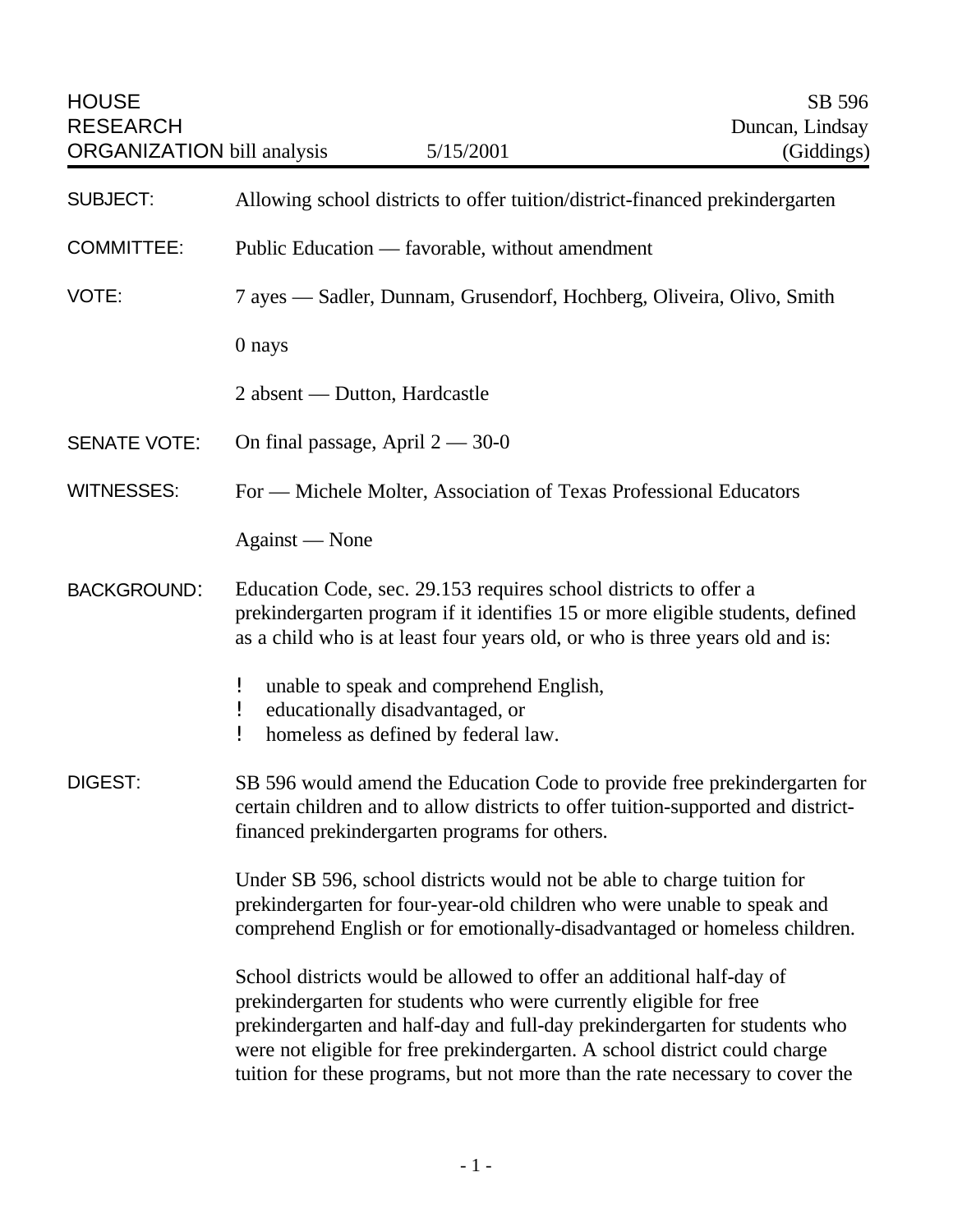| <b>HOUSE</b><br><b>RESEARCH</b><br><b>ORGANIZATION</b> bill analysis | 5/15/2001                                                                                                                                                                                                                                                                                                                                                                              | SB 596<br>Duncan, Lindsay<br>(Giddings) |
|----------------------------------------------------------------------|----------------------------------------------------------------------------------------------------------------------------------------------------------------------------------------------------------------------------------------------------------------------------------------------------------------------------------------------------------------------------------------|-----------------------------------------|
| <b>SUBJECT:</b>                                                      | Allowing school districts to offer tuition/district-financed prekindergarten                                                                                                                                                                                                                                                                                                           |                                         |
| <b>COMMITTEE:</b>                                                    | Public Education — favorable, without amendment                                                                                                                                                                                                                                                                                                                                        |                                         |
| VOTE:                                                                | 7 ayes — Sadler, Dunnam, Grusendorf, Hochberg, Oliveira, Olivo, Smith                                                                                                                                                                                                                                                                                                                  |                                         |
|                                                                      | 0 nays                                                                                                                                                                                                                                                                                                                                                                                 |                                         |
|                                                                      | 2 absent — Dutton, Hardcastle                                                                                                                                                                                                                                                                                                                                                          |                                         |
| <b>SENATE VOTE:</b>                                                  | On final passage, April $2 - 30 - 0$                                                                                                                                                                                                                                                                                                                                                   |                                         |
| <b>WITNESSES:</b>                                                    | For - Michele Molter, Association of Texas Professional Educators                                                                                                                                                                                                                                                                                                                      |                                         |
|                                                                      | Against — None                                                                                                                                                                                                                                                                                                                                                                         |                                         |
| <b>BACKGROUND:</b>                                                   | Education Code, sec. 29.153 requires school districts to offer a<br>prekindergarten program if it identifies 15 or more eligible students, defined<br>as a child who is at least four years old, or who is three years old and is:                                                                                                                                                     |                                         |
|                                                                      | unable to speak and comprehend English,<br>Ţ<br>educationally disadvantaged, or<br>Ţ<br>homeless as defined by federal law.<br>Ţ                                                                                                                                                                                                                                                       |                                         |
| <b>DIGEST:</b>                                                       | SB 596 would amend the Education Code to provide free prekindergarten for<br>certain children and to allow districts to offer tuition-supported and district-<br>financed prekindergarten programs for others.                                                                                                                                                                         |                                         |
|                                                                      | Under SB 596, school districts would not be able to charge tuition for<br>prekindergarten for four-year-old children who were unable to speak and<br>comprehend English or for emotionally-disadvantaged or homeless children.                                                                                                                                                         |                                         |
|                                                                      | School districts would be allowed to offer an additional half-day of<br>prekindergarten for students who were currently eligible for free<br>prekindergarten and half-day and full-day prekindergarten for students who<br>were not eligible for free prekindergarten. A school district could charge<br>tuition for these programs, but not more than the rate necessary to cover the |                                         |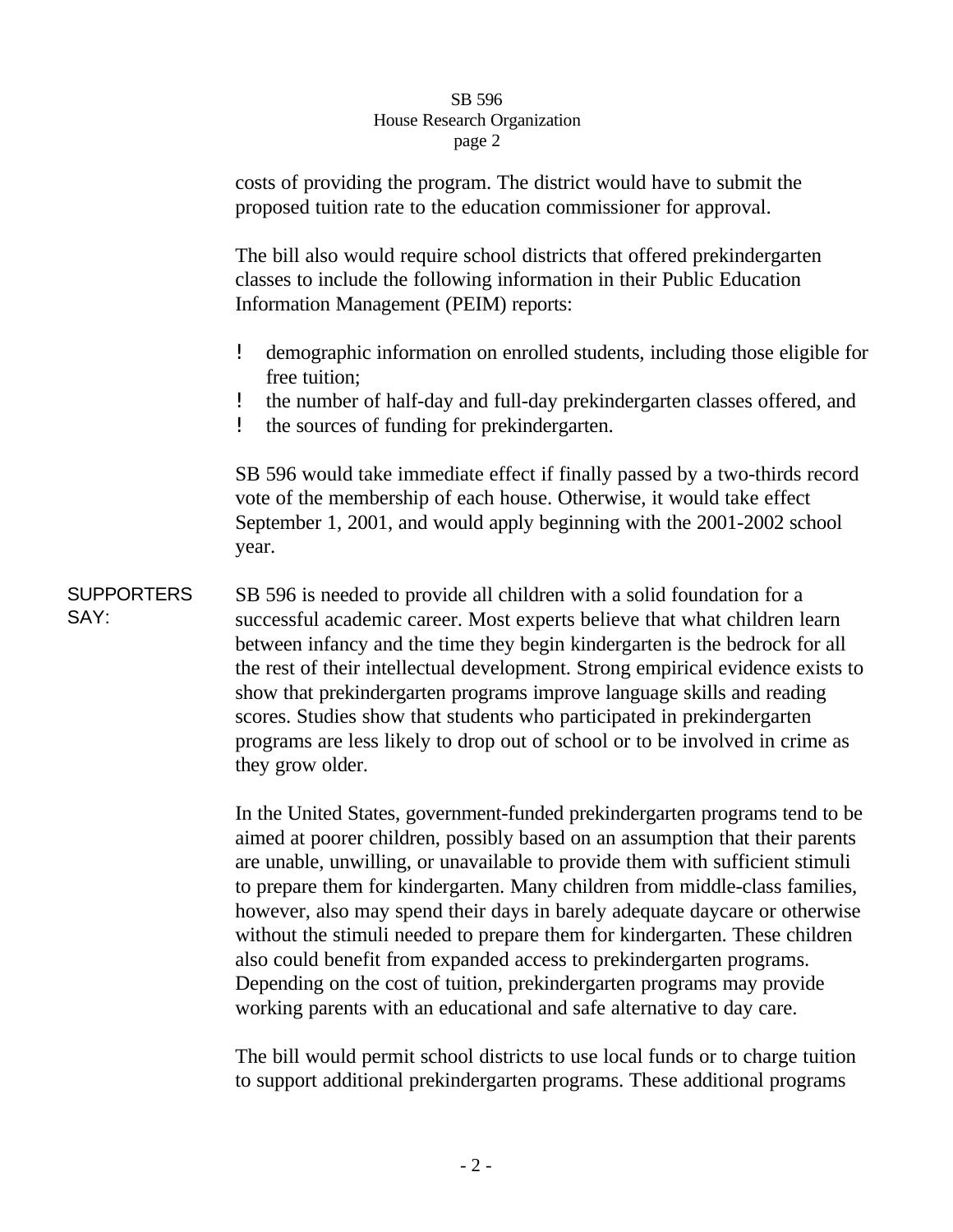## SB 596 House Research Organization page 2

costs of providing the program. The district would have to submit the proposed tuition rate to the education commissioner for approval.

The bill also would require school districts that offered prekindergarten classes to include the following information in their Public Education Information Management (PEIM) reports:

- ! demographic information on enrolled students, including those eligible for free tuition;
- ! the number of half-day and full-day prekindergarten classes offered, and
- ! the sources of funding for prekindergarten.

SB 596 would take immediate effect if finally passed by a two-thirds record vote of the membership of each house. Otherwise, it would take effect September 1, 2001, and would apply beginning with the 2001-2002 school year.

**SUPPORTERS** SAY: SB 596 is needed to provide all children with a solid foundation for a successful academic career. Most experts believe that what children learn between infancy and the time they begin kindergarten is the bedrock for all the rest of their intellectual development. Strong empirical evidence exists to show that prekindergarten programs improve language skills and reading scores. Studies show that students who participated in prekindergarten programs are less likely to drop out of school or to be involved in crime as they grow older.

> In the United States, government-funded prekindergarten programs tend to be aimed at poorer children, possibly based on an assumption that their parents are unable, unwilling, or unavailable to provide them with sufficient stimuli to prepare them for kindergarten. Many children from middle-class families, however, also may spend their days in barely adequate daycare or otherwise without the stimuli needed to prepare them for kindergarten. These children also could benefit from expanded access to prekindergarten programs. Depending on the cost of tuition, prekindergarten programs may provide working parents with an educational and safe alternative to day care.

> The bill would permit school districts to use local funds or to charge tuition to support additional prekindergarten programs. These additional programs